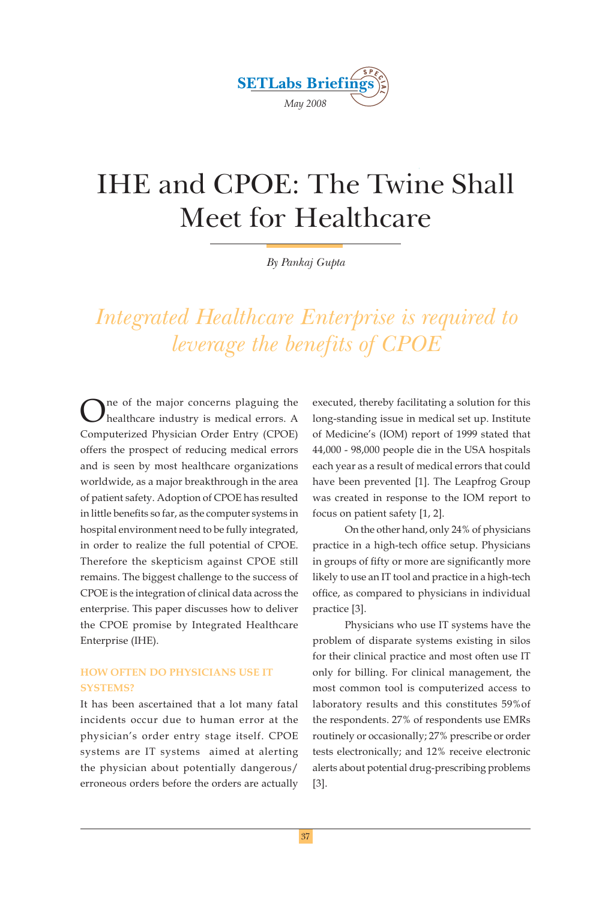

# IHE and CPOE: The Twine Shall Meet for Healthcare

*By Pankaj Gupta*

*Integrated Healthcare Enterprise is required to leverage the benefits of CPOE*

One of the major concerns plaguing the healthcare industry is medical errors. A Computerized Physician Order Entry (CPOE) offers the prospect of reducing medical errors and is seen by most healthcare organizations worldwide, as a major breakthrough in the area of patient safety. Adoption of CPOE has resulted in little benefits so far, as the computer systems in hospital environment need to be fully integrated, in order to realize the full potential of CPOE. Therefore the skepticism against CPOE still remains. The biggest challenge to the success of CPOE is the integration of clinical data across the enterprise. This paper discusses how to deliver the CPOE promise by Integrated Healthcare Enterprise (IHE).

#### **HOW OFTEN DO PHYSICIANS USE IT SYSTEMS?**

It has been ascertained that a lot many fatal incidents occur due to human error at the physician's order entry stage itself. CPOE systems are IT systems aimed at alerting the physician about potentially dangerous/ erroneous orders before the orders are actually executed, thereby facilitating a solution for this long-standing issue in medical set up. Institute of Medicine's (IOM) report of 1999 stated that 44,000 - 98,000 people die in the USA hospitals each year as a result of medical errors that could have been prevented [1]. The Leapfrog Group was created in response to the IOM report to focus on patient safety [1, 2].

 On the other hand, only 24% of physicians practice in a high-tech office setup. Physicians in groups of fifty or more are significantly more likely to use an IT tool and practice in a high-tech office, as compared to physicians in individual practice [3].

 Physicians who use IT systems have the problem of disparate systems existing in silos for their clinical practice and most often use IT only for billing. For clinical management, the most common tool is computerized access to laboratory results and this constitutes 59%of the respondents. 27% of respondents use EMRs routinely or occasionally; 27% prescribe or order tests electronically; and 12% receive electronic alerts about potential drug-prescribing problems [3].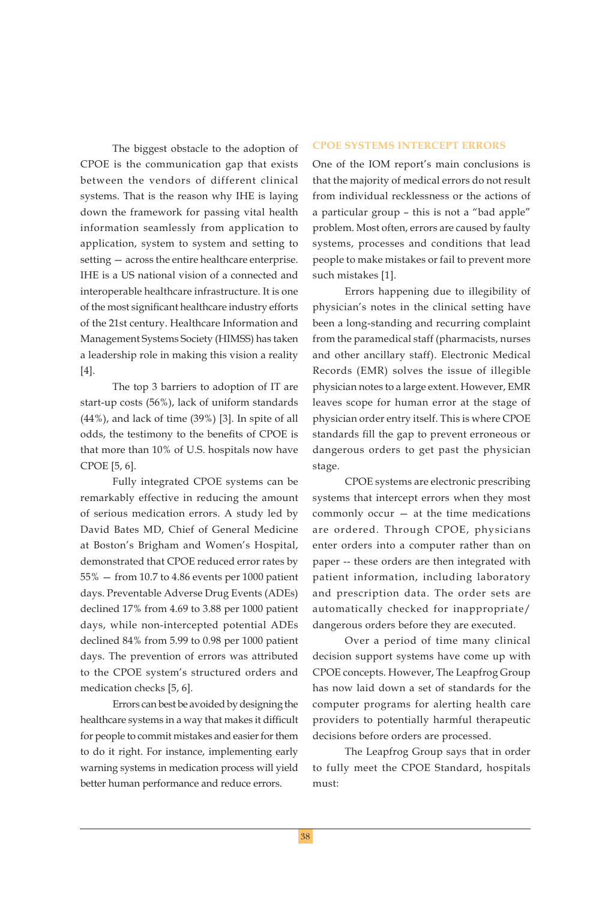The biggest obstacle to the adoption of CPOE is the communication gap that exists between the vendors of different clinical systems. That is the reason why IHE is laying down the framework for passing vital health information seamlessly from application to application, system to system and setting to setting — across the entire healthcare enterprise. IHE is a US national vision of a connected and interoperable healthcare infrastructure. It is one of the most significant healthcare industry efforts of the 21st century. Healthcare Information and Management Systems Society (HIMSS) has taken a leadership role in making this vision a reality [4].

 The top 3 barriers to adoption of IT are start-up costs (56%), lack of uniform standards (44%), and lack of time (39%) [3]. In spite of all odds, the testimony to the benefits of CPOE is that more than 10% of U.S. hospitals now have CPOE [5, 6].

 Fully integrated CPOE systems can be remarkably effective in reducing the amount of serious medication errors. A study led by David Bates MD, Chief of General Medicine at Boston's Brigham and Women's Hospital, demonstrated that CPOE reduced error rates by 55% — from 10.7 to 4.86 events per 1000 patient days. Preventable Adverse Drug Events (ADEs) declined 17% from 4.69 to 3.88 per 1000 patient days, while non-intercepted potential ADEs declined 84% from 5.99 to 0.98 per 1000 patient days. The prevention of errors was attributed to the CPOE system's structured orders and medication checks [5, 6].

 Errors can best be avoided by designing the healthcare systems in a way that makes it difficult for people to commit mistakes and easier for them to do it right. For instance, implementing early warning systems in medication process will yield better human performance and reduce errors.

#### **CPOE SYSTEMS INTERCEPT ERRORS**

One of the IOM report's main conclusions is that the majority of medical errors do not result from individual recklessness or the actions of a particular group – this is not a "bad apple" problem. Most often, errors are caused by faulty systems, processes and conditions that lead people to make mistakes or fail to prevent more such mistakes [1].

 Errors happening due to illegibility of physician's notes in the clinical setting have been a long-standing and recurring complaint from the paramedical staff (pharmacists, nurses and other ancillary staff). Electronic Medical Records (EMR) solves the issue of illegible physician notes to a large extent. However, EMR leaves scope for human error at the stage of physician order entry itself. This is where CPOE standards fill the gap to prevent erroneous or dangerous orders to get past the physician stage.

 CPOE systems are electronic prescribing systems that intercept errors when they most commonly occur — at the time medications are ordered. Through CPOE, physicians enter orders into a computer rather than on paper -- these orders are then integrated with patient information, including laboratory and prescription data. The order sets are automatically checked for inappropriate/ dangerous orders before they are executed.

 Over a period of time many clinical decision support systems have come up with CPOE concepts. However, The Leapfrog Group has now laid down a set of standards for the computer programs for alerting health care providers to potentially harmful therapeutic decisions before orders are processed.

 The Leapfrog Group says that in order to fully meet the CPOE Standard, hospitals must: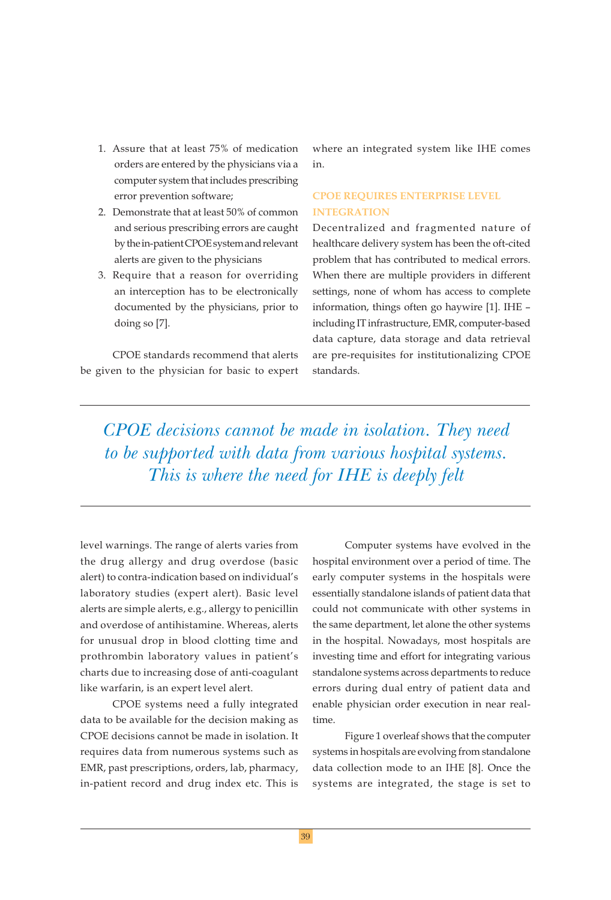- 1. Assure that at least 75% of medication orders are entered by the physicians via a computer system that includes prescribing error prevention software;
- 2. Demonstrate that at least 50% of common and serious prescribing errors are caught by the in-patient CPOE system and relevant alerts are given to the physicians
- 3. Require that a reason for overriding an interception has to be electronically documented by the physicians, prior to doing so [7].

 CPOE standards recommend that alerts be given to the physician for basic to expert

where an integrated system like IHE comes in.

### **CPOE REQUIRES ENTERPRISE LEVEL INTEGRATION**

Decentralized and fragmented nature of healthcare delivery system has been the oft-cited problem that has contributed to medical errors. When there are multiple providers in different settings, none of whom has access to complete information, things often go haywire [1]. IHE – including IT infrastructure, EMR, computer-based data capture, data storage and data retrieval are pre-requisites for institutionalizing CPOE standards.

*CPOE decisions cannot be made in isolation. They need to be supported with data from various hospital systems. This is where the need for IHE is deeply felt*

level warnings. The range of alerts varies from the drug allergy and drug overdose (basic alert) to contra-indication based on individual's laboratory studies (expert alert). Basic level alerts are simple alerts, e.g., allergy to penicillin and overdose of antihistamine. Whereas, alerts for unusual drop in blood clotting time and prothrombin laboratory values in patient's charts due to increasing dose of anti-coagulant like warfarin, is an expert level alert.

 CPOE systems need a fully integrated data to be available for the decision making as CPOE decisions cannot be made in isolation. It requires data from numerous systems such as EMR, past prescriptions, orders, lab, pharmacy, in-patient record and drug index etc. This is

 Computer systems have evolved in the hospital environment over a period of time. The early computer systems in the hospitals were essentially standalone islands of patient data that could not communicate with other systems in the same department, let alone the other systems in the hospital. Nowadays, most hospitals are investing time and effort for integrating various standalone systems across departments to reduce errors during dual entry of patient data and enable physician order execution in near realtime.

 Figure 1 overleaf shows that the computer systems in hospitals are evolving from standalone data collection mode to an IHE [8]. Once the systems are integrated, the stage is set to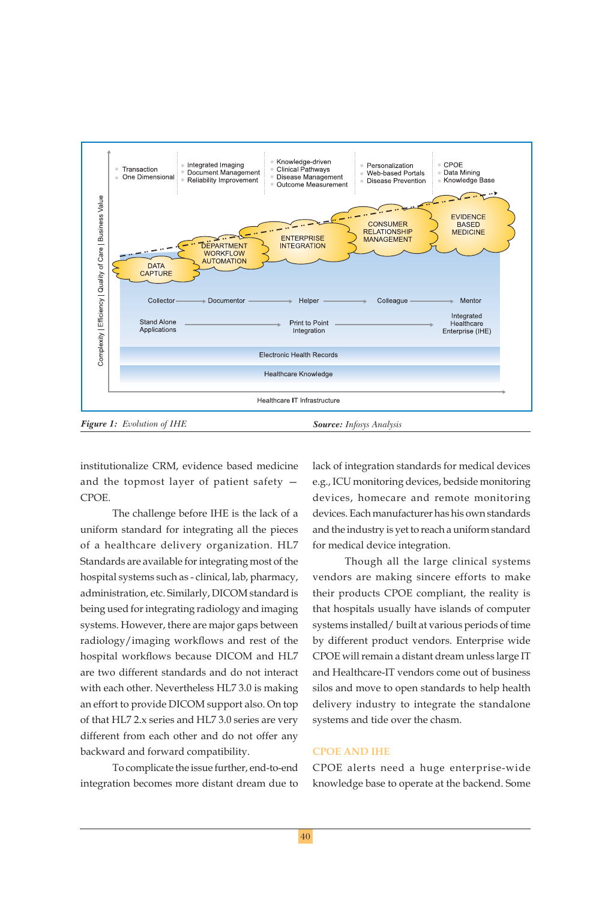

institutionalize CRM, evidence based medicine and the topmost layer of patient safety — CPOE.

 The challenge before IHE is the lack of a uniform standard for integrating all the pieces of a healthcare delivery organization. HL7 Standards are available for integrating most of the hospital systems such as - clinical, lab, pharmacy, administration, etc. Similarly, DICOM standard is being used for integrating radiology and imaging systems. However, there are major gaps between radiology/imaging workflows and rest of the hospital workflows because DICOM and HL7 are two different standards and do not interact with each other. Nevertheless HL7 3.0 is making an effort to provide DICOM support also. On top of that HL7 2.x series and HL7 3.0 series are very different from each other and do not offer any backward and forward compatibility.

 To complicate the issue further, end-to-end integration becomes more distant dream due to

lack of integration standards for medical devices e.g., ICU monitoring devices, bedside monitoring devices, homecare and remote monitoring devices. Each manufacturer has his own standards and the industry is yet to reach a uniform standard for medical device integration.

 Though all the large clinical systems vendors are making sincere efforts to make their products CPOE compliant, the reality is that hospitals usually have islands of computer systems installed/ built at various periods of time by different product vendors. Enterprise wide CPOE will remain a distant dream unless large IT and Healthcare-IT vendors come out of business silos and move to open standards to help health delivery industry to integrate the standalone systems and tide over the chasm.

#### **CPOE AND IHE**

CPOE alerts need a huge enterprise-wide knowledge base to operate at the backend. Some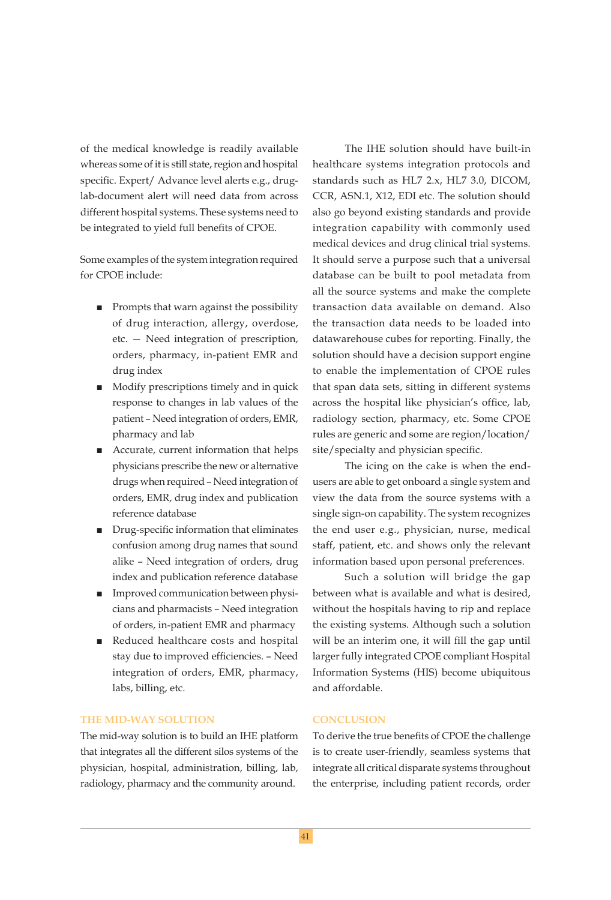of the medical knowledge is readily available whereas some of it is still state, region and hospital specific. Expert/ Advance level alerts e.g., druglab-document alert will need data from across different hospital systems. These systems need to be integrated to yield full benefits of CPOE.

Some examples of the system integration required for CPOE include:

- Prompts that warn against the possibility of drug interaction, allergy, overdose, etc. — Need integration of prescription, orders, pharmacy, in-patient EMR and drug index
- Modify prescriptions timely and in quick response to changes in lab values of the patient – Need integration of orders, EMR, pharmacy and lab
- Accurate, current information that helps physicians prescribe the new or alternative drugs when required – Need integration of orders, EMR, drug index and publication reference database
- Drug-specific information that eliminates confusion among drug names that sound alike – Need integration of orders, drug index and publication reference database
- Improved communication between physicians and pharmacists – Need integration of orders, in-patient EMR and pharmacy
- Reduced healthcare costs and hospital stay due to improved efficiencies. - Need integration of orders, EMR, pharmacy, labs, billing, etc.

#### **THE MID-WAY SOLUTION**

The mid-way solution is to build an IHE platform that integrates all the different silos systems of the physician, hospital, administration, billing, lab, radiology, pharmacy and the community around.

 The IHE solution should have built-in healthcare systems integration protocols and standards such as HL7 2.x, HL7 3.0, DICOM, CCR, ASN.1, X12, EDI etc. The solution should also go beyond existing standards and provide integration capability with commonly used medical devices and drug clinical trial systems. It should serve a purpose such that a universal database can be built to pool metadata from all the source systems and make the complete transaction data available on demand. Also the transaction data needs to be loaded into datawarehouse cubes for reporting. Finally, the solution should have a decision support engine to enable the implementation of CPOE rules that span data sets, sitting in different systems across the hospital like physician's office, lab, radiology section, pharmacy, etc. Some CPOE rules are generic and some are region/location/ site/specialty and physician specific.

 The icing on the cake is when the endusers are able to get onboard a single system and view the data from the source systems with a single sign-on capability. The system recognizes the end user e.g., physician, nurse, medical staff, patient, etc. and shows only the relevant information based upon personal preferences.

 Such a solution will bridge the gap between what is available and what is desired, without the hospitals having to rip and replace the existing systems. Although such a solution will be an interim one, it will fill the gap until larger fully integrated CPOE compliant Hospital Information Systems (HIS) become ubiquitous and affordable.

#### **CONCLUSION**

To derive the true benefits of CPOE the challenge is to create user-friendly, seamless systems that integrate all critical disparate systems throughout the enterprise, including patient records, order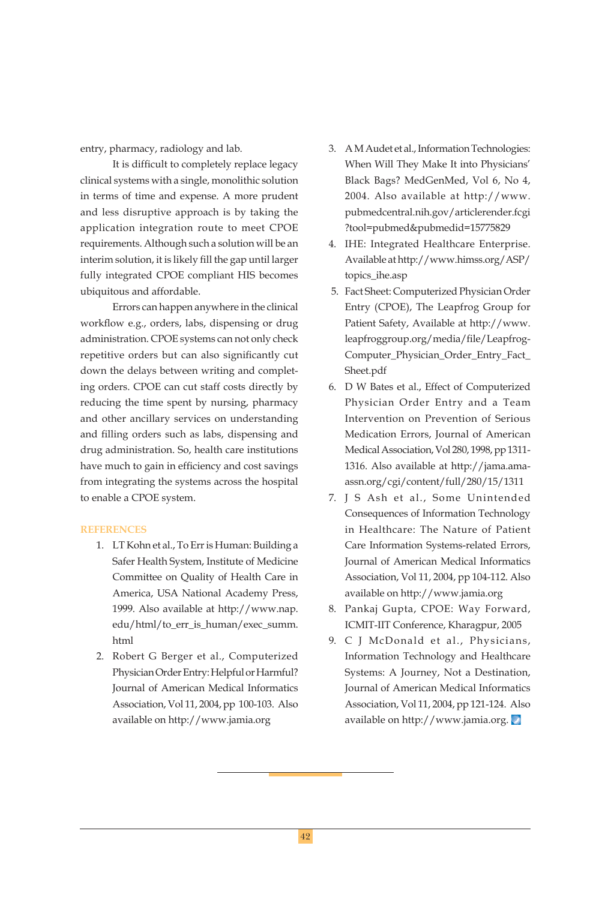entry, pharmacy, radiology and lab.

It is difficult to completely replace legacy clinical systems with a single, monolithic solution in terms of time and expense. A more prudent and less disruptive approach is by taking the application integration route to meet CPOE requirements. Although such a solution will be an interim solution, it is likely fill the gap until larger fully integrated CPOE compliant HIS becomes ubiquitous and affordable.

 Errors can happen anywhere in the clinical workflow e.g., orders, labs, dispensing or drug administration. CPOE systems can not only check repetitive orders but can also significantly cut down the delays between writing and completing orders. CPOE can cut staff costs directly by reducing the time spent by nursing, pharmacy and other ancillary services on understanding and filling orders such as labs, dispensing and drug administration. So, health care institutions have much to gain in efficiency and cost savings from integrating the systems across the hospital to enable a CPOE system.

#### **REFERENCES**

- 1. LT Kohn et al., To Err is Human: Building a Safer Health System, Institute of Medicine Committee on Quality of Health Care in America, USA National Academy Press, 1999. Also available at http://www.nap. edu/html/to\_err\_is\_human/exec\_summ. html
- 2. Robert G Berger et al., Computerized Physician Order Entry: Helpful or Harmful? Journal of American Medical Informatics Association, Vol 11, 2004, pp 100-103. Also available on http://www.jamia.org
- 3. A M Audet et al., Information Technologies: When Will They Make It into Physicians' Black Bags? MedGenMed, Vol 6, No 4, 2004. Also available at http://www. pubmedcentral.nih.gov/articlerender.fcgi ?tool=pubmed&pubmedid=15775829
- 4. IHE: Integrated Healthcare Enterprise. Available at http://www.himss.org/ASP/ topics\_ihe.asp
- 5. Fact Sheet: Computerized Physician Order Entry (CPOE), The Leapfrog Group for Patient Safety, Available at http://www. leapfroggroup.org/media/file/Leapfrog-Computer\_Physician\_Order\_Entry\_Fact\_ Sheet.pdf
- 6. D W Bates et al., Effect of Computerized Physician Order Entry and a Team Intervention on Prevention of Serious Medication Errors, Journal of American Medical Association, Vol 280, 1998, pp 1311- 1316. Also available at http://jama.amaassn.org/cgi/content/full/280/15/1311
- 7. J S Ash et al., Some Unintended Consequences of Information Technology in Healthcare: The Nature of Patient Care Information Systems-related Errors, Journal of American Medical Informatics Association, Vol 11, 2004, pp 104-112. Also available on http://www.jamia.org
- 8. Pankaj Gupta, CPOE: Way Forward, ICMIT-IIT Conference, Kharagpur, 2005
- 9. C J McDonald et al., Physicians, Information Technology and Healthcare Systems: A Journey, Not a Destination, Journal of American Medical Informatics Association, Vol 11, 2004, pp 121-124. Also available on http://www.jamia.org.